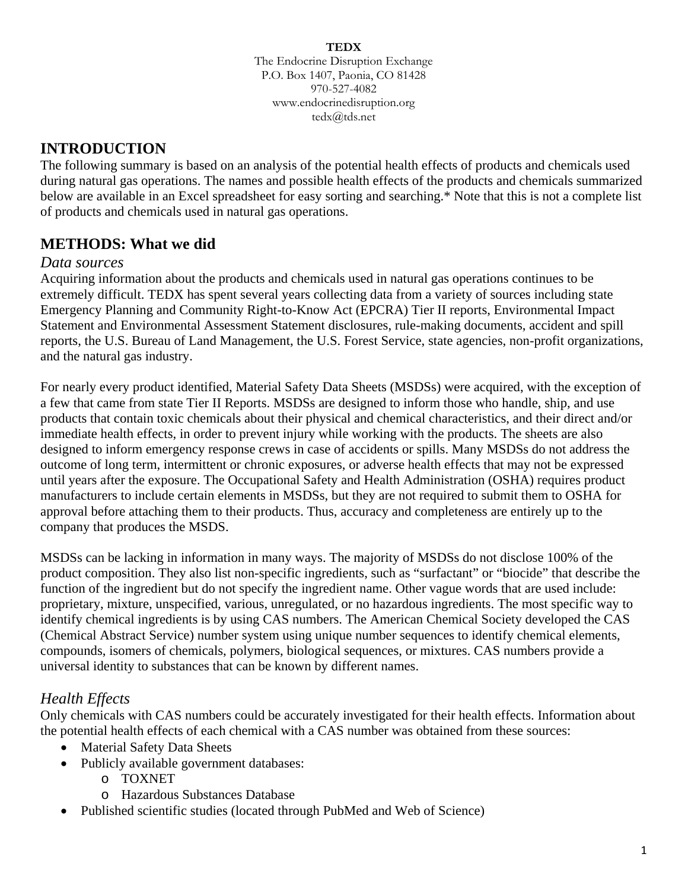#### **TEDX**

The Endocrine Disruption Exchange P.O. Box 1407, Paonia, CO 81428 970-527-4082 www.endocrinedisruption.org tedx@tds.net

# **INTRODUCTION**

The following summary is based on an analysis of the potential health effects of products and chemicals used during natural gas operations. The names and possible health effects of the products and chemicals summarized below are available in an Excel spreadsheet for easy sorting and searching.\* Note that this is not a complete list of products and chemicals used in natural gas operations.

# **METHODS: What we did**

### *Data sources*

Acquiring information about the products and chemicals used in natural gas operations continues to be extremely difficult. TEDX has spent several years collecting data from a variety of sources including state Emergency Planning and Community Right-to-Know Act (EPCRA) Tier II reports, Environmental Impact Statement and Environmental Assessment Statement disclosures, rule-making documents, accident and spill reports, the U.S. Bureau of Land Management, the U.S. Forest Service, state agencies, non-profit organizations, and the natural gas industry.

For nearly every product identified, Material Safety Data Sheets (MSDSs) were acquired, with the exception of a few that came from state Tier II Reports. MSDSs are designed to inform those who handle, ship, and use products that contain toxic chemicals about their physical and chemical characteristics, and their direct and/or immediate health effects, in order to prevent injury while working with the products. The sheets are also designed to inform emergency response crews in case of accidents or spills. Many MSDSs do not address the outcome of long term, intermittent or chronic exposures, or adverse health effects that may not be expressed until years after the exposure. The Occupational Safety and Health Administration (OSHA) requires product manufacturers to include certain elements in MSDSs, but they are not required to submit them to OSHA for approval before attaching them to their products. Thus, accuracy and completeness are entirely up to the company that produces the MSDS.

MSDSs can be lacking in information in many ways. The majority of MSDSs do not disclose 100% of the product composition. They also list non-specific ingredients, such as "surfactant" or "biocide" that describe the function of the ingredient but do not specify the ingredient name. Other vague words that are used include: proprietary, mixture, unspecified, various, unregulated, or no hazardous ingredients. The most specific way to identify chemical ingredients is by using CAS numbers. The American Chemical Society developed the CAS (Chemical Abstract Service) number system using unique number sequences to identify chemical elements, compounds, isomers of chemicals, polymers, biological sequences, or mixtures. CAS numbers provide a universal identity to substances that can be known by different names.

# *Health Effects*

Only chemicals with CAS numbers could be accurately investigated for their health effects. Information about the potential health effects of each chemical with a CAS number was obtained from these sources:

- Material Safety Data Sheets
- Publicly available government databases:
	- o TOXNET
	- o Hazardous Substances Database
- Published scientific studies (located through PubMed and Web of Science)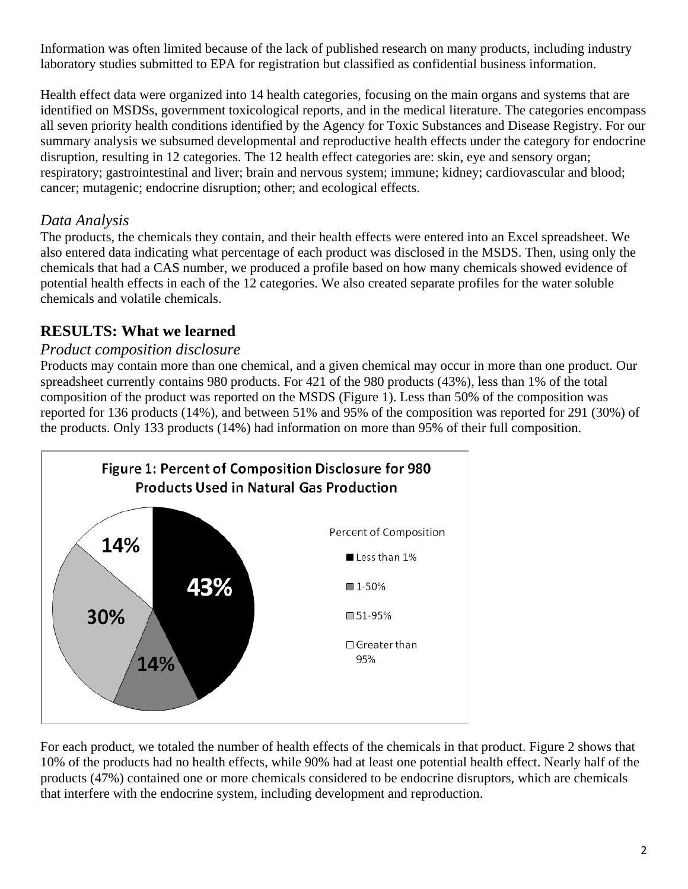Information was often limited because of the lack of published research on many products, including industry laboratory studies submitted to EPA for registration but classified as confidential business information.

Health effect data were organized into 14 health categories, focusing on the main organs and systems that are identified on MSDSs, government toxicological reports, and in the medical literature. The categories encompass all seven priority health conditions identified by the Agency for Toxic Substances and Disease Registry. For our summary analysis we subsumed developmental and reproductive health effects under the category for endocrine disruption, resulting in 12 categories. The 12 health effect categories are: skin, eye and sensory organ; respiratory; gastrointestinal and liver; brain and nervous system; immune; kidney; cardiovascular and blood; cancer; mutagenic; endocrine disruption; other; and ecological effects.

# *Data Analysis*

The products, the chemicals they contain, and their health effects were entered into an Excel spreadsheet. We also entered data indicating what percentage of each product was disclosed in the MSDS. Then, using only the chemicals that had a CAS number, we produced a profile based on how many chemicals showed evidence of potential health effects in each of the 12 categories. We also created separate profiles for the water soluble chemicals and volatile chemicals.

# **RESULTS: What we learned**

### *Product composition disclosure*

Products may contain more than one chemical, and a given chemical may occur in more than one product. Our spreadsheet currently contains 980 products. For 421 of the 980 products (43%), less than 1% of the total composition of the product was reported on the MSDS (Figure 1). Less than 50% of the composition was reported for 136 products (14%), and between 51% and 95% of the composition was reported for 291 (30%) of the products. Only 133 products (14%) had information on more than 95% of their full composition.



For each product, we totaled the number of health effects of the chemicals in that product. Figure 2 shows that 10% of the products had no health effects, while 90% had at least one potential health effect. Nearly half of the products (47%) contained one or more chemicals considered to be endocrine disruptors, which are chemicals that interfere with the endocrine system, including development and reproduction.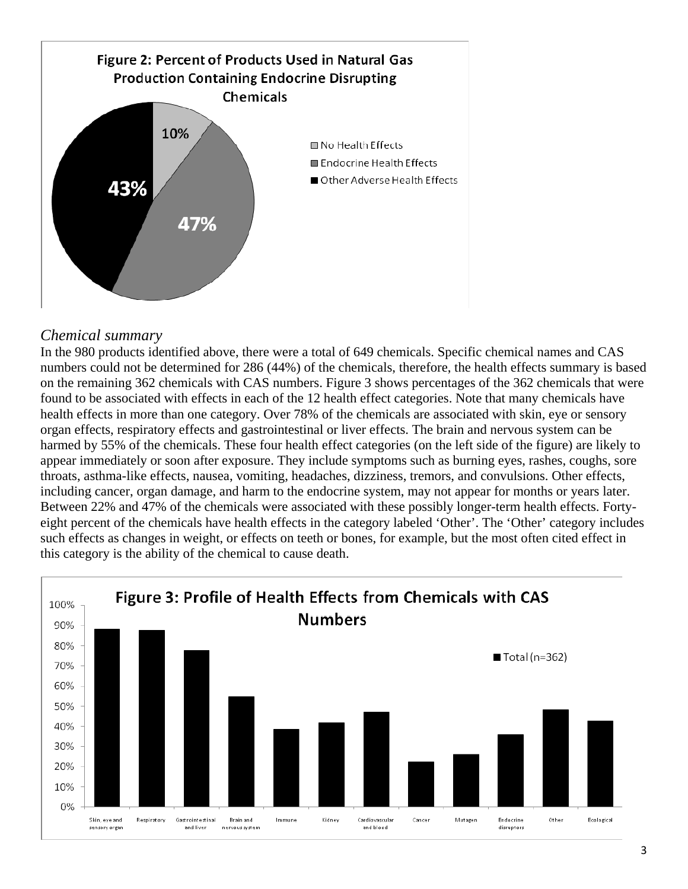

# *Chemical summary*

In the 980 products identified above, there were a total of 649 chemicals. Specific chemical names and CAS numbers could not be determined for 286 (44%) of the chemicals, therefore, the health effects summary is based on the remaining 362 chemicals with CAS numbers. Figure 3 shows percentages of the 362 chemicals that were found to be associated with effects in each of the 12 health effect categories. Note that many chemicals have health effects in more than one category. Over 78% of the chemicals are associated with skin, eye or sensory organ effects, respiratory effects and gastrointestinal or liver effects. The brain and nervous system can be harmed by 55% of the chemicals. These four health effect categories (on the left side of the figure) are likely to appear immediately or soon after exposure. They include symptoms such as burning eyes, rashes, coughs, sore throats, asthma-like effects, nausea, vomiting, headaches, dizziness, tremors, and convulsions. Other effects, including cancer, organ damage, and harm to the endocrine system, may not appear for months or years later. Between 22% and 47% of the chemicals were associated with these possibly longer-term health effects. Fortyeight percent of the chemicals have health effects in the category labeled 'Other'. The 'Other' category includes such effects as changes in weight, or effects on teeth or bones, for example, but the most often cited effect in this category is the ability of the chemical to cause death.

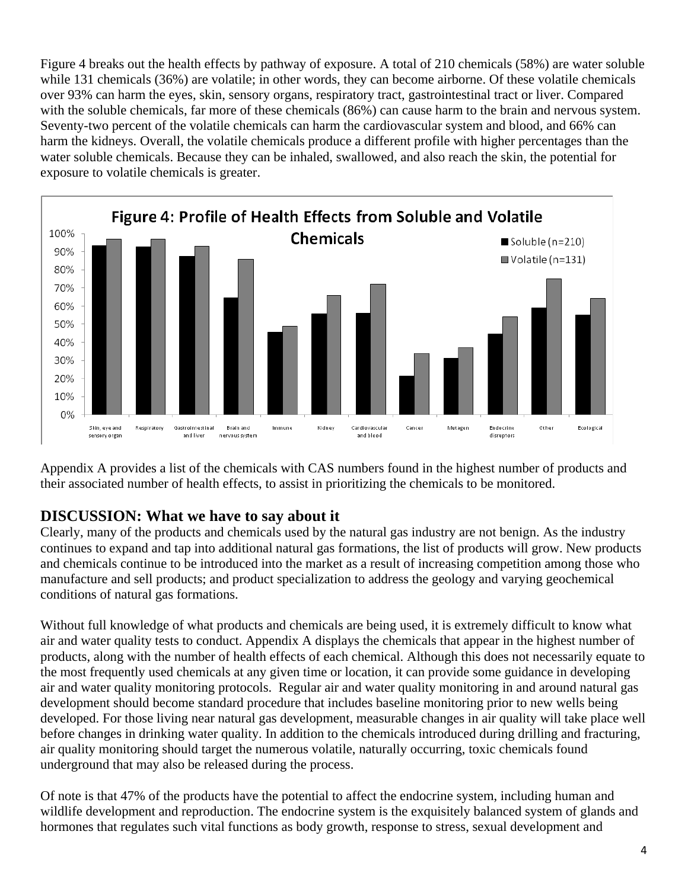Figure 4 breaks out the health effects by pathway of exposure. A total of 210 chemicals (58%) are water soluble while 131 chemicals (36%) are volatile; in other words, they can become airborne. Of these volatile chemicals over 93% can harm the eyes, skin, sensory organs, respiratory tract, gastrointestinal tract or liver. Compared with the soluble chemicals, far more of these chemicals (86%) can cause harm to the brain and nervous system. Seventy-two percent of the volatile chemicals can harm the cardiovascular system and blood, and 66% can harm the kidneys. Overall, the volatile chemicals produce a different profile with higher percentages than the water soluble chemicals. Because they can be inhaled, swallowed, and also reach the skin, the potential for exposure to volatile chemicals is greater.



Appendix A provides a list of the chemicals with CAS numbers found in the highest number of products and their associated number of health effects, to assist in prioritizing the chemicals to be monitored.

# **DISCUSSION: What we have to say about it**

Clearly, many of the products and chemicals used by the natural gas industry are not benign. As the industry continues to expand and tap into additional natural gas formations, the list of products will grow. New products and chemicals continue to be introduced into the market as a result of increasing competition among those who manufacture and sell products; and product specialization to address the geology and varying geochemical conditions of natural gas formations.

Without full knowledge of what products and chemicals are being used, it is extremely difficult to know what air and water quality tests to conduct. Appendix A displays the chemicals that appear in the highest number of products, along with the number of health effects of each chemical. Although this does not necessarily equate to the most frequently used chemicals at any given time or location, it can provide some guidance in developing air and water quality monitoring protocols. Regular air and water quality monitoring in and around natural gas development should become standard procedure that includes baseline monitoring prior to new wells being developed. For those living near natural gas development, measurable changes in air quality will take place well before changes in drinking water quality. In addition to the chemicals introduced during drilling and fracturing, air quality monitoring should target the numerous volatile, naturally occurring, toxic chemicals found underground that may also be released during the process.

Of note is that 47% of the products have the potential to affect the endocrine system, including human and wildlife development and reproduction. The endocrine system is the exquisitely balanced system of glands and hormones that regulates such vital functions as body growth, response to stress, sexual development and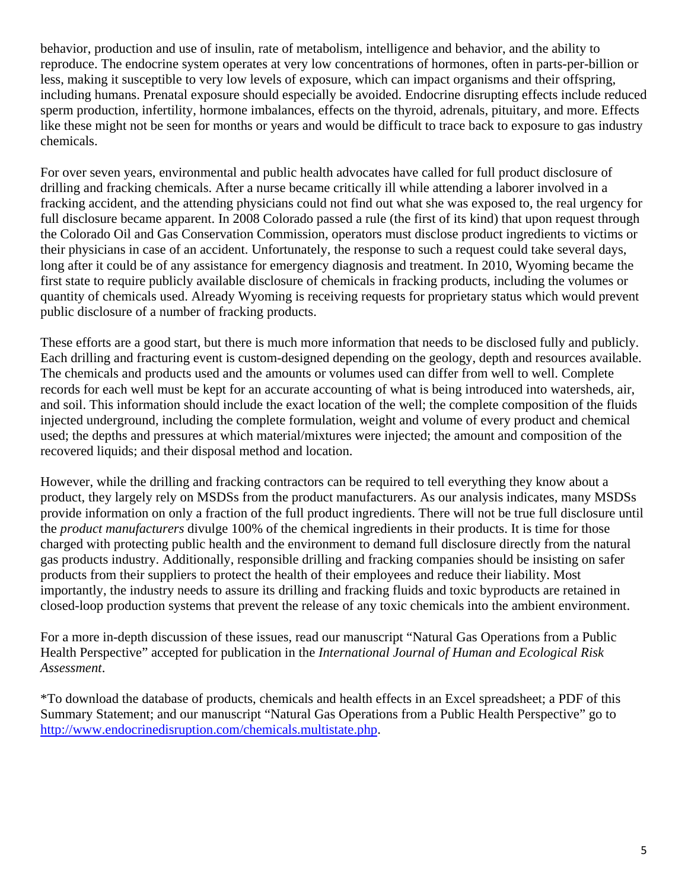behavior, production and use of insulin, rate of metabolism, intelligence and behavior, and the ability to reproduce. The endocrine system operates at very low concentrations of hormones, often in parts-per-billion or less, making it susceptible to very low levels of exposure, which can impact organisms and their offspring, including humans. Prenatal exposure should especially be avoided. Endocrine disrupting effects include reduced sperm production, infertility, hormone imbalances, effects on the thyroid, adrenals, pituitary, and more. Effects like these might not be seen for months or years and would be difficult to trace back to exposure to gas industry chemicals.

For over seven years, environmental and public health advocates have called for full product disclosure of drilling and fracking chemicals. After a nurse became critically ill while attending a laborer involved in a fracking accident, and the attending physicians could not find out what she was exposed to, the real urgency for full disclosure became apparent. In 2008 Colorado passed a rule (the first of its kind) that upon request through the Colorado Oil and Gas Conservation Commission, operators must disclose product ingredients to victims or their physicians in case of an accident. Unfortunately, the response to such a request could take several days, long after it could be of any assistance for emergency diagnosis and treatment. In 2010, Wyoming became the first state to require publicly available disclosure of chemicals in fracking products, including the volumes or quantity of chemicals used. Already Wyoming is receiving requests for proprietary status which would prevent public disclosure of a number of fracking products.

These efforts are a good start, but there is much more information that needs to be disclosed fully and publicly. Each drilling and fracturing event is custom-designed depending on the geology, depth and resources available. The chemicals and products used and the amounts or volumes used can differ from well to well. Complete records for each well must be kept for an accurate accounting of what is being introduced into watersheds, air, and soil. This information should include the exact location of the well; the complete composition of the fluids injected underground, including the complete formulation, weight and volume of every product and chemical used; the depths and pressures at which material/mixtures were injected; the amount and composition of the recovered liquids; and their disposal method and location.

However, while the drilling and fracking contractors can be required to tell everything they know about a product, they largely rely on MSDSs from the product manufacturers. As our analysis indicates, many MSDSs provide information on only a fraction of the full product ingredients. There will not be true full disclosure until the *product manufacturers* divulge 100% of the chemical ingredients in their products. It is time for those charged with protecting public health and the environment to demand full disclosure directly from the natural gas products industry. Additionally, responsible drilling and fracking companies should be insisting on safer products from their suppliers to protect the health of their employees and reduce their liability. Most importantly, the industry needs to assure its drilling and fracking fluids and toxic byproducts are retained in closed-loop production systems that prevent the release of any toxic chemicals into the ambient environment.

For a more in-depth discussion of these issues, read our manuscript "Natural Gas Operations from a Public Health Perspective" accepted for publication in the *International Journal of Human and Ecological Risk Assessment*.

\*To download the database of products, chemicals and health effects in an Excel spreadsheet; a PDF of this Summary Statement; and our manuscript "Natural Gas Operations from a Public Health Perspective" go to http://www.endocrinedisruption.com/chemicals.multistate.php.